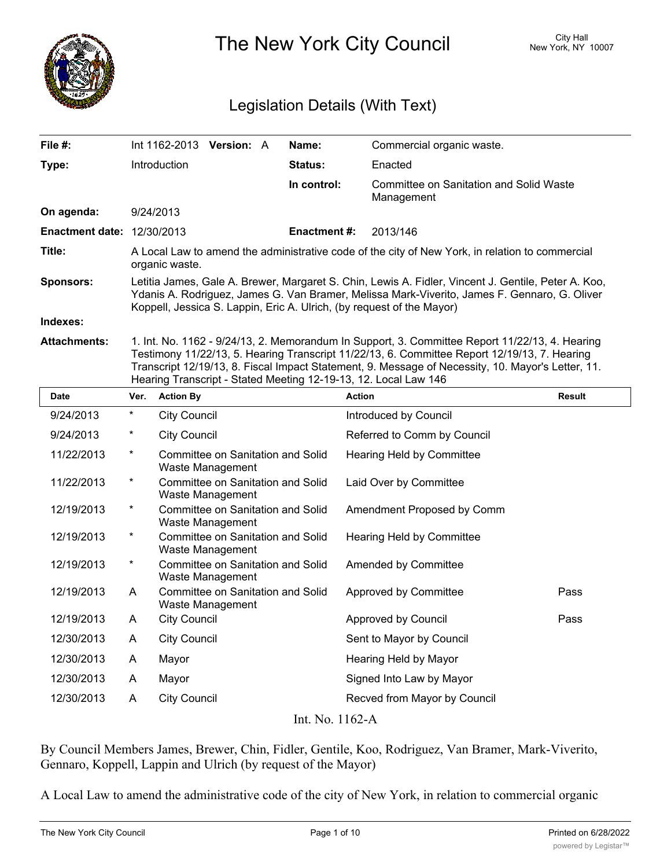

The New York City Council New York, NY 10007

# Legislation Details (With Text)

| File #:                           |                                                                                                                                                                                                                                                                                                                                                                        |                     | Int 1162-2013 Version: A                                     |  | Name:              | Commercial organic waste.                                    |               |
|-----------------------------------|------------------------------------------------------------------------------------------------------------------------------------------------------------------------------------------------------------------------------------------------------------------------------------------------------------------------------------------------------------------------|---------------------|--------------------------------------------------------------|--|--------------------|--------------------------------------------------------------|---------------|
| Type:                             |                                                                                                                                                                                                                                                                                                                                                                        | Introduction        |                                                              |  | <b>Status:</b>     | Enacted                                                      |               |
|                                   |                                                                                                                                                                                                                                                                                                                                                                        |                     |                                                              |  | In control:        | <b>Committee on Sanitation and Solid Waste</b><br>Management |               |
| On agenda:                        |                                                                                                                                                                                                                                                                                                                                                                        | 9/24/2013           |                                                              |  |                    |                                                              |               |
| <b>Enactment date: 12/30/2013</b> |                                                                                                                                                                                                                                                                                                                                                                        |                     |                                                              |  | <b>Enactment#:</b> | 2013/146                                                     |               |
| Title:                            | A Local Law to amend the administrative code of the city of New York, in relation to commercial<br>organic waste.                                                                                                                                                                                                                                                      |                     |                                                              |  |                    |                                                              |               |
| <b>Sponsors:</b>                  | Letitia James, Gale A. Brewer, Margaret S. Chin, Lewis A. Fidler, Vincent J. Gentile, Peter A. Koo,<br>Ydanis A. Rodriguez, James G. Van Bramer, Melissa Mark-Viverito, James F. Gennaro, G. Oliver<br>Koppell, Jessica S. Lappin, Eric A. Ulrich, (by request of the Mayor)                                                                                           |                     |                                                              |  |                    |                                                              |               |
| Indexes:                          |                                                                                                                                                                                                                                                                                                                                                                        |                     |                                                              |  |                    |                                                              |               |
| <b>Attachments:</b>               | 1. Int. No. 1162 - 9/24/13, 2. Memorandum In Support, 3. Committee Report 11/22/13, 4. Hearing<br>Testimony 11/22/13, 5. Hearing Transcript 11/22/13, 6. Committee Report 12/19/13, 7. Hearing<br>Transcript 12/19/13, 8. Fiscal Impact Statement, 9. Message of Necessity, 10. Mayor's Letter, 11.<br>Hearing Transcript - Stated Meeting 12-19-13, 12. Local Law 146 |                     |                                                              |  |                    |                                                              |               |
| Date                              | Ver.                                                                                                                                                                                                                                                                                                                                                                   | <b>Action By</b>    |                                                              |  |                    | <b>Action</b>                                                | <b>Result</b> |
| 9/24/2013                         | $\star$                                                                                                                                                                                                                                                                                                                                                                | <b>City Council</b> |                                                              |  |                    | Introduced by Council                                        |               |
| 9/24/2013                         | $\ast$                                                                                                                                                                                                                                                                                                                                                                 | <b>City Council</b> |                                                              |  |                    | Referred to Comm by Council                                  |               |
| 11/22/2013                        | $^\star$                                                                                                                                                                                                                                                                                                                                                               |                     | Committee on Sanitation and Solid<br>Waste Management        |  |                    | <b>Hearing Held by Committee</b>                             |               |
| 11/22/2013                        | $\ast$                                                                                                                                                                                                                                                                                                                                                                 |                     | Committee on Sanitation and Solid<br>Waste Management        |  |                    | Laid Over by Committee                                       |               |
| 12/19/2013                        | $^\star$                                                                                                                                                                                                                                                                                                                                                               |                     | Committee on Sanitation and Solid<br>Waste Management        |  |                    | Amendment Proposed by Comm                                   |               |
| 12/19/2013                        | $^{\ast}$                                                                                                                                                                                                                                                                                                                                                              |                     | Committee on Sanitation and Solid<br>Waste Management        |  |                    | <b>Hearing Held by Committee</b>                             |               |
| 12/19/2013                        | $^{\star}$                                                                                                                                                                                                                                                                                                                                                             |                     | Committee on Sanitation and Solid<br>Waste Management        |  |                    | Amended by Committee                                         |               |
| 12/19/2013                        | A                                                                                                                                                                                                                                                                                                                                                                      |                     | <b>Committee on Sanitation and Solid</b><br>Waste Management |  |                    | Approved by Committee                                        | Pass          |
| 12/19/2013                        | A                                                                                                                                                                                                                                                                                                                                                                      | <b>City Council</b> |                                                              |  |                    | Approved by Council                                          | Pass          |
| 12/30/2013                        | A                                                                                                                                                                                                                                                                                                                                                                      | <b>City Council</b> |                                                              |  |                    | Sent to Mayor by Council                                     |               |
| 12/30/2013                        | A                                                                                                                                                                                                                                                                                                                                                                      | Mayor               |                                                              |  |                    | Hearing Held by Mayor                                        |               |
| 12/30/2013                        | A                                                                                                                                                                                                                                                                                                                                                                      | Mayor               |                                                              |  |                    | Signed Into Law by Mayor                                     |               |
| 12/30/2013                        | Α                                                                                                                                                                                                                                                                                                                                                                      | <b>City Council</b> |                                                              |  |                    | Recved from Mayor by Council                                 |               |
| Int. No. 1162-A                   |                                                                                                                                                                                                                                                                                                                                                                        |                     |                                                              |  |                    |                                                              |               |

By Council Members James, Brewer, Chin, Fidler, Gentile, Koo, Rodriguez, Van Bramer, Mark-Viverito, Gennaro, Koppell, Lappin and Ulrich (by request of the Mayor)

A Local Law to amend the administrative code of the city of New York, in relation to commercial organic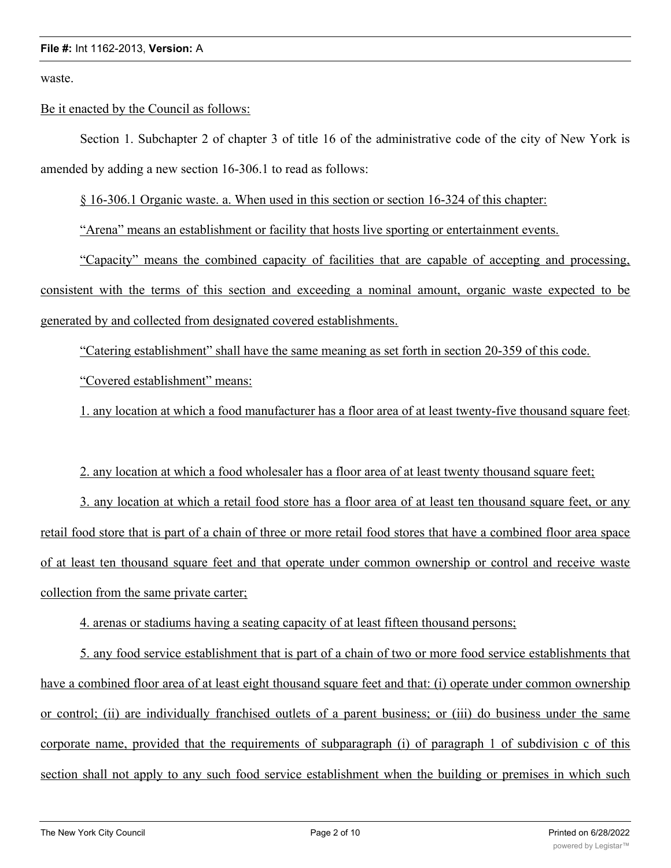waste.

### Be it enacted by the Council as follows:

Section 1. Subchapter 2 of chapter 3 of title 16 of the administrative code of the city of New York is amended by adding a new section 16-306.1 to read as follows:

§ 16-306.1 Organic waste. a. When used in this section or section 16-324 of this chapter:

"Arena" means an establishment or facility that hosts live sporting or entertainment events.

"Capacity" means the combined capacity of facilities that are capable of accepting and processing, consistent with the terms of this section and exceeding a nominal amount, organic waste expected to be generated by and collected from designated covered establishments.

"Catering establishment" shall have the same meaning as set forth in section 20-359 of this code.

"Covered establishment" means:

1. any location at which a food manufacturer has a floor area of at least twenty-five thousand square feet;

## 2. any location at which a food wholesaler has a floor area of at least twenty thousand square feet;

3. any location at which a retail food store has a floor area of at least ten thousand square feet, or any retail food store that is part of a chain of three or more retail food stores that have a combined floor area space of at least ten thousand square feet and that operate under common ownership or control and receive waste collection from the same private carter;

4. arenas or stadiums having a seating capacity of at least fifteen thousand persons;

5. any food service establishment that is part of a chain of two or more food service establishments that have a combined floor area of at least eight thousand square feet and that: (i) operate under common ownership or control; (ii) are individually franchised outlets of a parent business; or (iii) do business under the same corporate name, provided that the requirements of subparagraph (i) of paragraph 1 of subdivision c of this section shall not apply to any such food service establishment when the building or premises in which such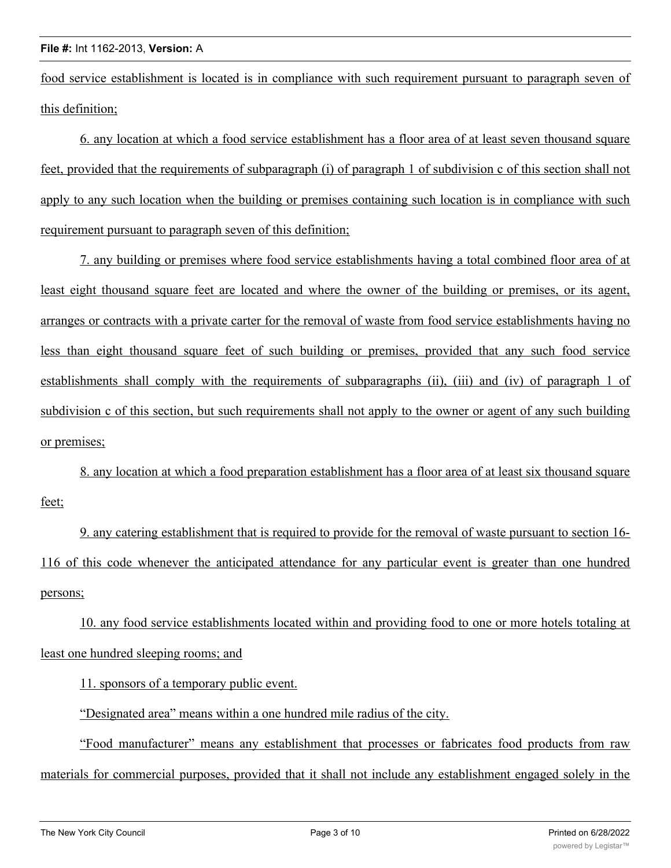food service establishment is located is in compliance with such requirement pursuant to paragraph seven of this definition;

6. any location at which a food service establishment has a floor area of at least seven thousand square feet, provided that the requirements of subparagraph (i) of paragraph 1 of subdivision c of this section shall not apply to any such location when the building or premises containing such location is in compliance with such requirement pursuant to paragraph seven of this definition;

7. any building or premises where food service establishments having a total combined floor area of at least eight thousand square feet are located and where the owner of the building or premises, or its agent, arranges or contracts with a private carter for the removal of waste from food service establishments having no less than eight thousand square feet of such building or premises, provided that any such food service establishments shall comply with the requirements of subparagraphs (ii), (iii) and (iv) of paragraph 1 of subdivision c of this section, but such requirements shall not apply to the owner or agent of any such building or premises;

8. any location at which a food preparation establishment has a floor area of at least six thousand square feet;

9. any catering establishment that is required to provide for the removal of waste pursuant to section 16- 116 of this code whenever the anticipated attendance for any particular event is greater than one hundred persons;

10. any food service establishments located within and providing food to one or more hotels totaling at least one hundred sleeping rooms; and

11. sponsors of a temporary public event.

"Designated area" means within a one hundred mile radius of the city.

"Food manufacturer" means any establishment that processes or fabricates food products from raw materials for commercial purposes, provided that it shall not include any establishment engaged solely in the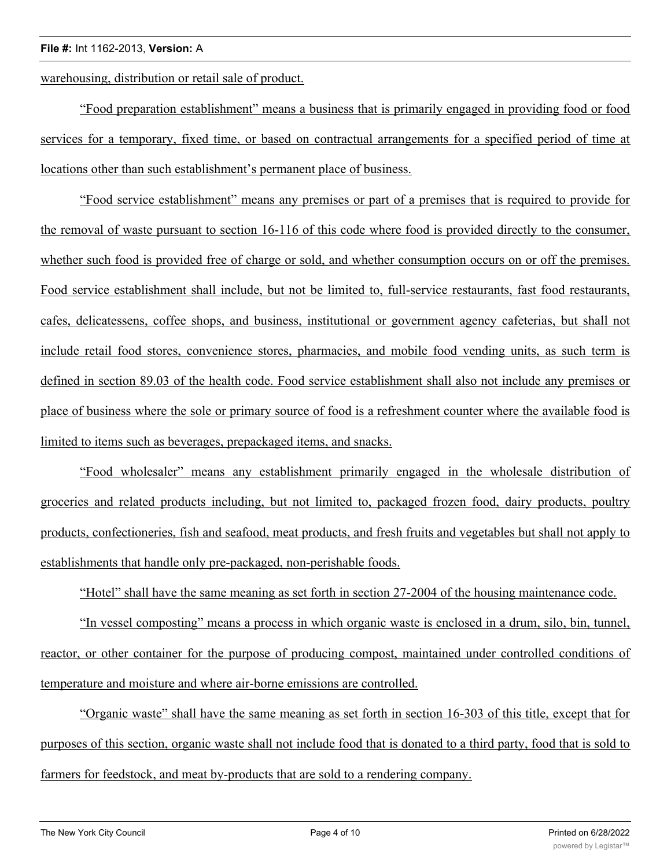#### **File #:** Int 1162-2013, **Version:** A

warehousing, distribution or retail sale of product.

"Food preparation establishment" means a business that is primarily engaged in providing food or food services for a temporary, fixed time, or based on contractual arrangements for a specified period of time at locations other than such establishment's permanent place of business.

"Food service establishment" means any premises or part of a premises that is required to provide for the removal of waste pursuant to section 16-116 of this code where food is provided directly to the consumer, whether such food is provided free of charge or sold, and whether consumption occurs on or off the premises. Food service establishment shall include, but not be limited to, full-service restaurants, fast food restaurants, cafes, delicatessens, coffee shops, and business, institutional or government agency cafeterias, but shall not include retail food stores, convenience stores, pharmacies, and mobile food vending units, as such term is defined in section 89.03 of the health code. Food service establishment shall also not include any premises or place of business where the sole or primary source of food is a refreshment counter where the available food is limited to items such as beverages, prepackaged items, and snacks.

"Food wholesaler" means any establishment primarily engaged in the wholesale distribution of groceries and related products including, but not limited to, packaged frozen food, dairy products, poultry products, confectioneries, fish and seafood, meat products, and fresh fruits and vegetables but shall not apply to establishments that handle only pre-packaged, non-perishable foods.

"Hotel" shall have the same meaning as set forth in section 27-2004 of the housing maintenance code.

"In vessel composting" means a process in which organic waste is enclosed in a drum, silo, bin, tunnel, reactor, or other container for the purpose of producing compost, maintained under controlled conditions of temperature and moisture and where air-borne emissions are controlled.

"Organic waste" shall have the same meaning as set forth in section 16-303 of this title, except that for purposes of this section, organic waste shall not include food that is donated to a third party, food that is sold to farmers for feedstock, and meat by-products that are sold to a rendering company.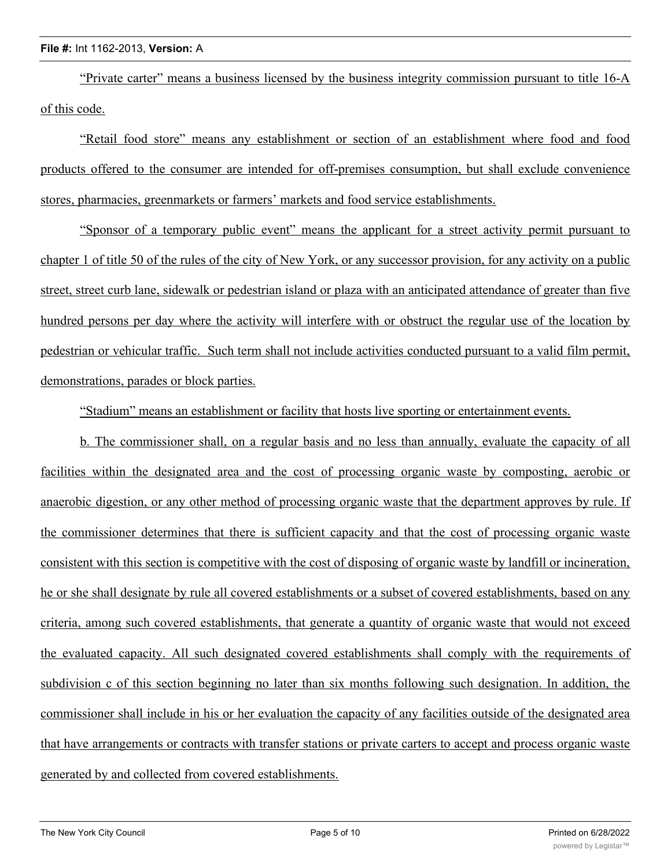#### **File #:** Int 1162-2013, **Version:** A

"Private carter" means a business licensed by the business integrity commission pursuant to title 16-A of this code.

"Retail food store" means any establishment or section of an establishment where food and food products offered to the consumer are intended for off-premises consumption, but shall exclude convenience stores, pharmacies, greenmarkets or farmers' markets and food service establishments.

"Sponsor of a temporary public event" means the applicant for a street activity permit pursuant to chapter 1 of title 50 of the rules of the city of New York, or any successor provision, for any activity on a public street, street curb lane, sidewalk or pedestrian island or plaza with an anticipated attendance of greater than five hundred persons per day where the activity will interfere with or obstruct the regular use of the location by pedestrian or vehicular traffic. Such term shall not include activities conducted pursuant to a valid film permit, demonstrations, parades or block parties.

"Stadium" means an establishment or facility that hosts live sporting or entertainment events.

b. The commissioner shall, on a regular basis and no less than annually, evaluate the capacity of all facilities within the designated area and the cost of processing organic waste by composting, aerobic or anaerobic digestion, or any other method of processing organic waste that the department approves by rule. If the commissioner determines that there is sufficient capacity and that the cost of processing organic waste consistent with this section is competitive with the cost of disposing of organic waste by landfill or incineration, he or she shall designate by rule all covered establishments or a subset of covered establishments, based on any criteria, among such covered establishments, that generate a quantity of organic waste that would not exceed the evaluated capacity. All such designated covered establishments shall comply with the requirements of subdivision c of this section beginning no later than six months following such designation. In addition, the commissioner shall include in his or her evaluation the capacity of any facilities outside of the designated area that have arrangements or contracts with transfer stations or private carters to accept and process organic waste generated by and collected from covered establishments.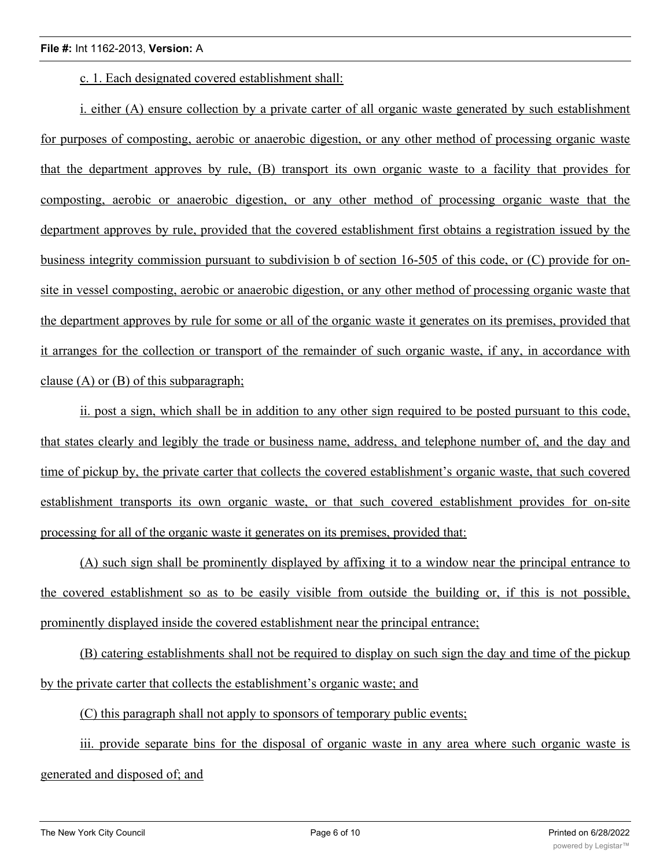c. 1. Each designated covered establishment shall:

i. either (A) ensure collection by a private carter of all organic waste generated by such establishment for purposes of composting, aerobic or anaerobic digestion, or any other method of processing organic waste that the department approves by rule, (B) transport its own organic waste to a facility that provides for composting, aerobic or anaerobic digestion, or any other method of processing organic waste that the department approves by rule, provided that the covered establishment first obtains a registration issued by the business integrity commission pursuant to subdivision b of section 16-505 of this code, or (C) provide for onsite in vessel composting, aerobic or anaerobic digestion, or any other method of processing organic waste that the department approves by rule for some or all of the organic waste it generates on its premises, provided that it arranges for the collection or transport of the remainder of such organic waste, if any, in accordance with clause (A) or (B) of this subparagraph;

ii. post a sign, which shall be in addition to any other sign required to be posted pursuant to this code, that states clearly and legibly the trade or business name, address, and telephone number of, and the day and time of pickup by, the private carter that collects the covered establishment's organic waste, that such covered establishment transports its own organic waste, or that such covered establishment provides for on-site processing for all of the organic waste it generates on its premises, provided that:

(A) such sign shall be prominently displayed by affixing it to a window near the principal entrance to the covered establishment so as to be easily visible from outside the building or, if this is not possible, prominently displayed inside the covered establishment near the principal entrance;

(B) catering establishments shall not be required to display on such sign the day and time of the pickup by the private carter that collects the establishment's organic waste; and

(C) this paragraph shall not apply to sponsors of temporary public events;

iii. provide separate bins for the disposal of organic waste in any area where such organic waste is generated and disposed of; and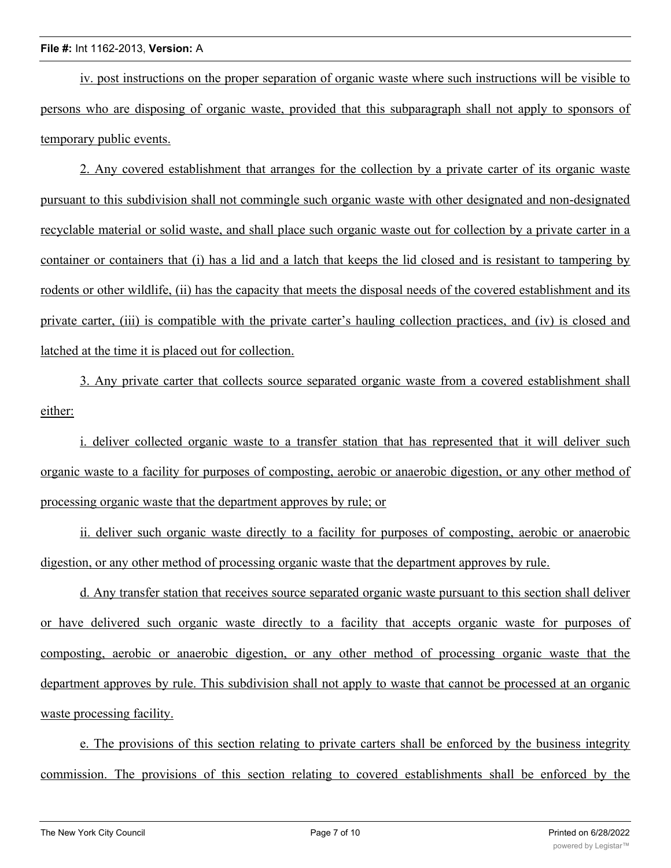iv. post instructions on the proper separation of organic waste where such instructions will be visible to persons who are disposing of organic waste, provided that this subparagraph shall not apply to sponsors of temporary public events.

2. Any covered establishment that arranges for the collection by a private carter of its organic waste pursuant to this subdivision shall not commingle such organic waste with other designated and non-designated recyclable material or solid waste, and shall place such organic waste out for collection by a private carter in a container or containers that (i) has a lid and a latch that keeps the lid closed and is resistant to tampering by rodents or other wildlife, (ii) has the capacity that meets the disposal needs of the covered establishment and its private carter, (iii) is compatible with the private carter's hauling collection practices, and (iv) is closed and latched at the time it is placed out for collection.

3. Any private carter that collects source separated organic waste from a covered establishment shall either:

i. deliver collected organic waste to a transfer station that has represented that it will deliver such organic waste to a facility for purposes of composting, aerobic or anaerobic digestion, or any other method of processing organic waste that the department approves by rule; or

ii. deliver such organic waste directly to a facility for purposes of composting, aerobic or anaerobic digestion, or any other method of processing organic waste that the department approves by rule.

d. Any transfer station that receives source separated organic waste pursuant to this section shall deliver or have delivered such organic waste directly to a facility that accepts organic waste for purposes of composting, aerobic or anaerobic digestion, or any other method of processing organic waste that the department approves by rule. This subdivision shall not apply to waste that cannot be processed at an organic waste processing facility.

e. The provisions of this section relating to private carters shall be enforced by the business integrity commission. The provisions of this section relating to covered establishments shall be enforced by the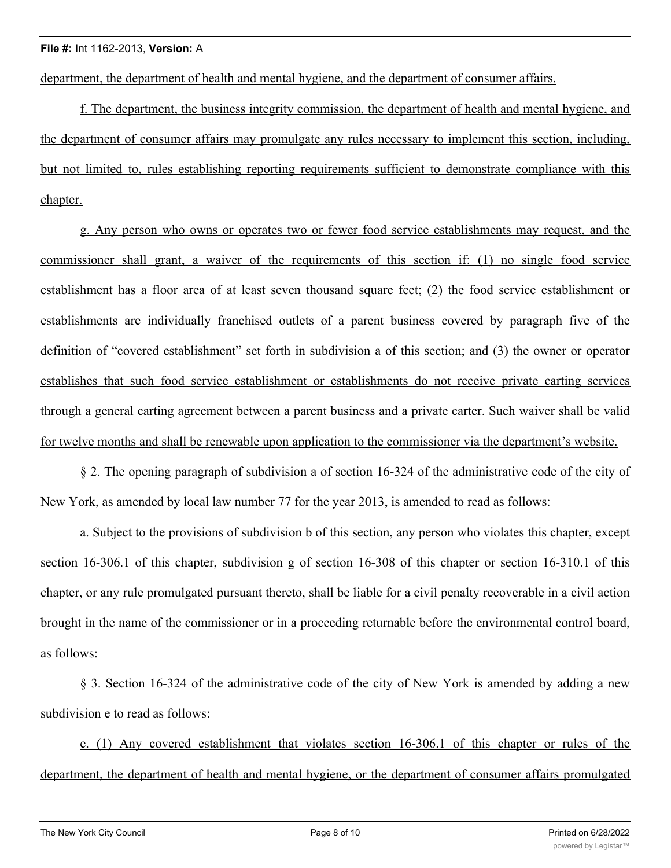department, the department of health and mental hygiene, and the department of consumer affairs.

f. The department, the business integrity commission, the department of health and mental hygiene, and the department of consumer affairs may promulgate any rules necessary to implement this section, including, but not limited to, rules establishing reporting requirements sufficient to demonstrate compliance with this chapter.

g. Any person who owns or operates two or fewer food service establishments may request, and the commissioner shall grant, a waiver of the requirements of this section if: (1) no single food service establishment has a floor area of at least seven thousand square feet; (2) the food service establishment or establishments are individually franchised outlets of a parent business covered by paragraph five of the definition of "covered establishment" set forth in subdivision a of this section; and (3) the owner or operator establishes that such food service establishment or establishments do not receive private carting services through a general carting agreement between a parent business and a private carter. Such waiver shall be valid for twelve months and shall be renewable upon application to the commissioner via the department's website.

§ 2. The opening paragraph of subdivision a of section 16-324 of the administrative code of the city of New York, as amended by local law number 77 for the year 2013, is amended to read as follows:

a. Subject to the provisions of subdivision b of this section, any person who violates this chapter, except section 16-306.1 of this chapter, subdivision g of section 16-308 of this chapter or section 16-310.1 of this chapter, or any rule promulgated pursuant thereto, shall be liable for a civil penalty recoverable in a civil action brought in the name of the commissioner or in a proceeding returnable before the environmental control board, as follows:

§ 3. Section 16-324 of the administrative code of the city of New York is amended by adding a new subdivision e to read as follows:

e. (1) Any covered establishment that violates section 16-306.1 of this chapter or rules of the department, the department of health and mental hygiene, or the department of consumer affairs promulgated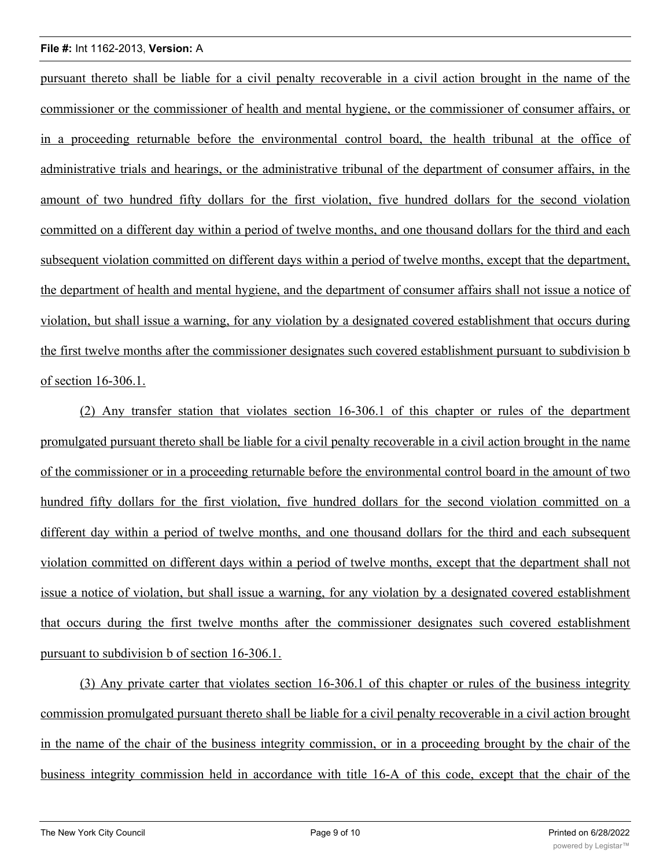#### **File #:** Int 1162-2013, **Version:** A

pursuant thereto shall be liable for a civil penalty recoverable in a civil action brought in the name of the commissioner or the commissioner of health and mental hygiene, or the commissioner of consumer affairs, or in a proceeding returnable before the environmental control board, the health tribunal at the office of administrative trials and hearings, or the administrative tribunal of the department of consumer affairs, in the amount of two hundred fifty dollars for the first violation, five hundred dollars for the second violation committed on a different day within a period of twelve months, and one thousand dollars for the third and each subsequent violation committed on different days within a period of twelve months, except that the department, the department of health and mental hygiene, and the department of consumer affairs shall not issue a notice of violation, but shall issue a warning, for any violation by a designated covered establishment that occurs during the first twelve months after the commissioner designates such covered establishment pursuant to subdivision b of section 16-306.1.

(2) Any transfer station that violates section 16-306.1 of this chapter or rules of the department promulgated pursuant thereto shall be liable for a civil penalty recoverable in a civil action brought in the name of the commissioner or in a proceeding returnable before the environmental control board in the amount of two hundred fifty dollars for the first violation, five hundred dollars for the second violation committed on a different day within a period of twelve months, and one thousand dollars for the third and each subsequent violation committed on different days within a period of twelve months, except that the department shall not issue a notice of violation, but shall issue a warning, for any violation by a designated covered establishment that occurs during the first twelve months after the commissioner designates such covered establishment pursuant to subdivision b of section 16-306.1.

(3) Any private carter that violates section 16-306.1 of this chapter or rules of the business integrity commission promulgated pursuant thereto shall be liable for a civil penalty recoverable in a civil action brought in the name of the chair of the business integrity commission, or in a proceeding brought by the chair of the business integrity commission held in accordance with title 16-A of this code, except that the chair of the